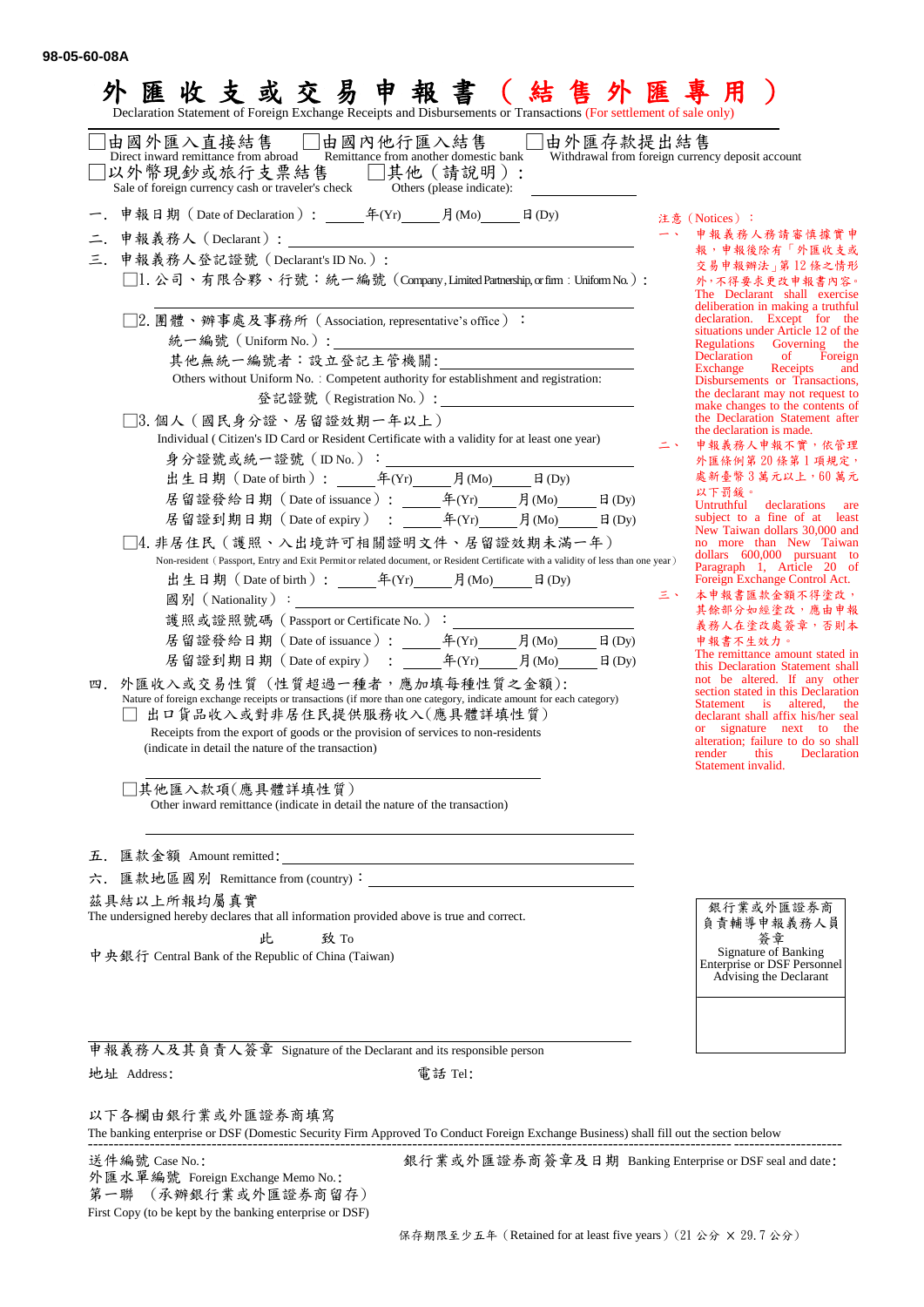| 易<br>收支或交<br>甲<br>脽<br>Declaration Statement of Foreign Exchange Receipts and Disbursements or Transactions (For settlement of sale only)                                                                                                                                                                                                                                                                                                                                                                                                                                                                                                                                                                                                                                                                                                                                                                                                                                                                                                                                                                                                                                                                                                                                                                                                                                              |                                                                                                                                                                                                                                                                                                                                                                                                                                                                                                                                                                                                                                                                                                                                                                                                                                                                                                                                                                                                                                                                                                                                                                                                                 |
|----------------------------------------------------------------------------------------------------------------------------------------------------------------------------------------------------------------------------------------------------------------------------------------------------------------------------------------------------------------------------------------------------------------------------------------------------------------------------------------------------------------------------------------------------------------------------------------------------------------------------------------------------------------------------------------------------------------------------------------------------------------------------------------------------------------------------------------------------------------------------------------------------------------------------------------------------------------------------------------------------------------------------------------------------------------------------------------------------------------------------------------------------------------------------------------------------------------------------------------------------------------------------------------------------------------------------------------------------------------------------------------|-----------------------------------------------------------------------------------------------------------------------------------------------------------------------------------------------------------------------------------------------------------------------------------------------------------------------------------------------------------------------------------------------------------------------------------------------------------------------------------------------------------------------------------------------------------------------------------------------------------------------------------------------------------------------------------------------------------------------------------------------------------------------------------------------------------------------------------------------------------------------------------------------------------------------------------------------------------------------------------------------------------------------------------------------------------------------------------------------------------------------------------------------------------------------------------------------------------------|
| ]由國外匯入直接結售 □由國內他行匯入結售 ¨<br>由外匯存款提出結售<br>Direct inward remittance from abroad Remittance from another domestic bank<br> 以外幣現鈔或旅行支票結售 □其他(請說明):<br>Sale of foreign currency cash or traveler's check<br>Others (please indicate):                                                                                                                                                                                                                                                                                                                                                                                                                                                                                                                                                                                                                                                                                                                                                                                                                                                                                                                                                                                                                                                                                                                                                        | Withdrawal from foreign currency deposit account                                                                                                                                                                                                                                                                                                                                                                                                                                                                                                                                                                                                                                                                                                                                                                                                                                                                                                                                                                                                                                                                                                                                                                |
| 申報義務人(Declarant):<br><u> Alexandria de la contexta de la contexta de la contexta de la contexta de la contexta de la contexta de la c</u><br>三. 申報義務人登記證號 (Declarant's ID No.):<br>□1. 公司、有限合夥、行號:統一編號 (Company,Limited Partnership,orfirm : Uniform No.) :<br>□2.團體丶辦事處及事務所(Association, representative's office)∶<br>其他無統一編號者:設立登記主管機關:<br>Others without Uniform No. : Competent authority for establishment and registration:<br>□3.個人(國民身分證、居留證效期一年以上)<br>Individual (Citizen's ID Card or Resident Certificate with a validity for at least one year)<br>居留證發給日期 (Date of issuance): 年(Yr) 月(Mo) 日(Dy)<br>□4. 非居住民 (護照、入出境許可相關證明文件、居留證效期未滿一年)<br>Non-resident (Passport, Entry and Exit Permit or related document, or Resident Certificate with a validity of less than one year)<br>護照或證照號碼 (Passport or Certificate No.):<br>居留證發給日期 (Date of issuance): 年(Yr) 月(Mo) 日(Dy)<br>居留證到期日期 (Date of expiry) : 4 (Yr) 月(Mo)<br>$\boxplus$ (Dy)<br>四. 外匯收入或交易性質 (性質超過一種者,應加填每種性質之金額):<br>Nature of foreign exchange receipts or transactions (if more than one category, indicate amount for each category)<br>出口貨品收入或對非居住民提供服務收入(應具體詳填性質)<br>Receipts from the export of goods or the provision of services to non-residents<br>(indicate in detail the nature of the transaction)<br>其他匯入款項(應具體詳填性質)<br>Other inward remittance (indicate in detail the nature of the transaction) | 注意 (Notices):<br>申報義務人務請審慎據實申<br>報,申報後除有「外匯收支或<br>交易申報辦法」第12條之情形<br>外,不得要求更改申報書內容。<br>The Declarant shall exercise<br>deliberation in making a truthful<br>declaration. Except for the<br>situations under Article 12 of the<br>Regulations<br>Governing the<br>Declaration<br>of Foreign<br>Exchange<br>Receipts<br>and<br>Disbursements or Transactions,<br>the declarant may not request to<br>make changes to the contents of<br>the Declaration Statement after<br>the declaration is made.<br>申報義務人申報不實,依管理<br>外匯條例第20條第1項規定,<br>處新臺幣3萬元以上,60萬元<br>以下罰錄。<br>Untruthful<br>declarations are<br>subject to a fine of at least<br>New Taiwan dollars 30,000 and<br>no more than New Taiwan<br>dollars 600,000 pursuant to<br>Paragraph 1, Article 20 of<br>Foreign Exchange Control Act.<br>三、<br>本申報書匯款金額不得塗改,<br>其餘部分如經塗改,應由申報<br>義務人在塗改處簽章,否則本<br>申報書不生效力。<br>The remittance amount stated in<br>this Declaration Statement shall<br>not be altered. If any other<br>section stated in this Declaration<br>Statement is<br>altered,<br>the<br>declarant shall affix his/her seal<br>or signature next to the<br>alteration; failure to do so shall<br>this<br>Declaration<br>render<br>Statement invalid. |
| 匯款金額 Amount remitted:<br>五.<br>匯款地區國別 Remittance from (country):<br>六.<br>茲具結以上所報均屬真實<br>The undersigned hereby declares that all information provided above is true and correct.<br>此<br>致 To<br>中央銀行 Central Bank of the Republic of China (Taiwan)                                                                                                                                                                                                                                                                                                                                                                                                                                                                                                                                                                                                                                                                                                                                                                                                                                                                                                                                                                                                                                                                                                                                  | 銀行業或外匯證券商<br>負責輔導申報義務人員<br>簽章<br>Signature of Banking<br>Enterprise or DSF Personnel<br>Advising the Declarant                                                                                                                                                                                                                                                                                                                                                                                                                                                                                                                                                                                                                                                                                                                                                                                                                                                                                                                                                                                                                                                                                                  |
|                                                                                                                                                                                                                                                                                                                                                                                                                                                                                                                                                                                                                                                                                                                                                                                                                                                                                                                                                                                                                                                                                                                                                                                                                                                                                                                                                                                        |                                                                                                                                                                                                                                                                                                                                                                                                                                                                                                                                                                                                                                                                                                                                                                                                                                                                                                                                                                                                                                                                                                                                                                                                                 |

申報義務人及其負責人簽章 Signature of the Declarant and its responsible person 地址 Address: 電話 Tel:

以下各欄由銀行業或外匯證券商填寫

The banking enterprise or DSF (Domestic Security Firm Approved To Conduct Foreign Exchange Business) shall fill out the section below --------------------------------------------------------------------------------------------------------------------------------------------------

外匯水單編號 Foreign Exchange Memo No.:

第一聯 (承辦銀行業或外匯證券商留存)

First Copy (to be kept by the banking enterprise or DSF)

送件編號 Case No.: 銀行業或外匯證券商簽章及日期 Banking Enterprise or DSF seal and date: